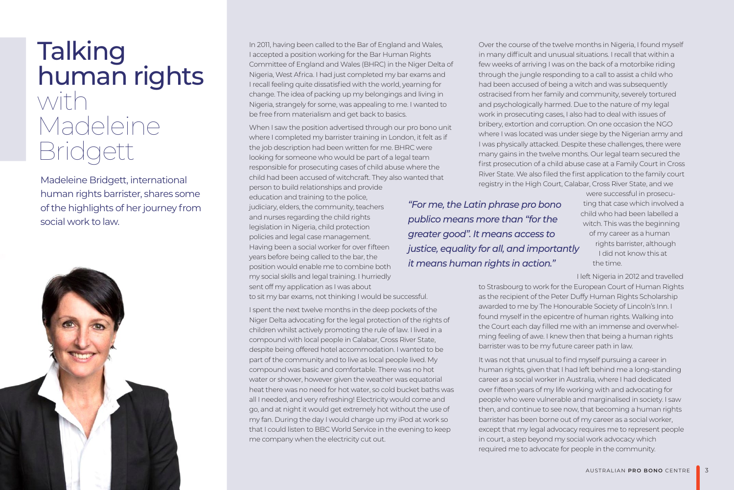## **Talking** human rights with Madeleine Bridgett

Madeleine Bridgett, international human rights barrister, shares some of the highlights of her journey from social work to law.



In 2011, having been called to the Bar of England and Wales, I accepted a position working for the Bar Human Rights Committee of England and Wales (BHRC) in the Niger Delta of Nigeria, West Africa. I had just completed my bar exams and I recall feeling quite dissatisfied with the world, yearning for change. The idea of packing up my belongings and living in Nigeria, strangely for some, was appealing to me. I wanted to be free from materialism and get back to basics.

When I saw the position advertised through our pro bono unit where I completed my barrister training in London, it felt as if the job description had been written for me. BHRC were looking for someone who would be part of a legal team responsible for prosecuting cases of child abuse where the child had been accused of witchcraft. They also wanted that person to build relationships and provide

education and training to the police, judiciary, elders, the community, teachers and nurses regarding the child rights legislation in Nigeria, child protection policies and legal case management. Having been a social worker for over fifteen years before being called to the bar, the position would enable me to combine both my social skills and legal training. I hurriedly sent off my application as I was about to sit my bar exams, not thinking I would be successful.

I spent the next twelve months in the deep pockets of the Niger Delta advocating for the legal protection of the rights of children whilst actively promoting the rule of law. I lived in a compound with local people in Calabar, Cross River State, despite being offered hotel accommodation. I wanted to be part of the community and to live as local people lived. My compound was basic and comfortable. There was no hot water or shower, however given the weather was equatorial heat there was no need for hot water, so cold bucket baths was all I needed, and very refreshing! Electricity would come and go, and at night it would get extremely hot without the use of my fan. During the day I would charge up my iPod at work so that I could listen to BBC World Service in the evening to keep me company when the electricity cut out.

Over the course of the twelve months in Nigeria, I found myself in many difficult and unusual situations. I recall that within a few weeks of arriving I was on the back of a motorbike riding through the jungle responding to a call to assist a child who had been accused of being a witch and was subsequently ostracised from her family and community, severely tortured and psychologically harmed. Due to the nature of my legal work in prosecuting cases, I also had to deal with issues of bribery, extortion and corruption. On one occasion the NGO where I was located was under siege by the Nigerian army and I was physically attacked. Despite these challenges, there were many gains in the twelve months. Our legal team secured the first prosecution of a child abuse case at a Family Court in Cross River State. We also filed the first application to the family court registry in the High Court, Calabar, Cross River State, and we

*"For me, the Latin phrase pro bono publico means more than "for the greater good". It means access to justice, equality for all, and importantly it means human rights in action."*

were successful in prosecuting that case which involved a child who had been labelled a witch. This was the beginning of my career as a human rights barrister, although I did not know this at the time.

I left Nigeria in 2012 and travelled

to Strasbourg to work for the European Court of Human Rights as the recipient of the Peter Duffy Human Rights Scholarship awarded to me by The Honourable Society of Lincoln's Inn. I found myself in the epicentre of human rights. Walking into the Court each day filled me with an immense and overwhelming feeling of awe. I knew then that being a human rights barrister was to be my future career path in law.

It was not that unusual to find myself pursuing a career in human rights, given that I had left behind me a long-standing career as a social worker in Australia, where I had dedicated over fifteen years of my life working with and advocating for people who were vulnerable and marginalised in society. I saw then, and continue to see now, that becoming a human rights barrister has been borne out of my career as a social worker, except that my legal advocacy requires me to represent people in court, a step beyond my social work advocacy which required me to advocate for people in the community.